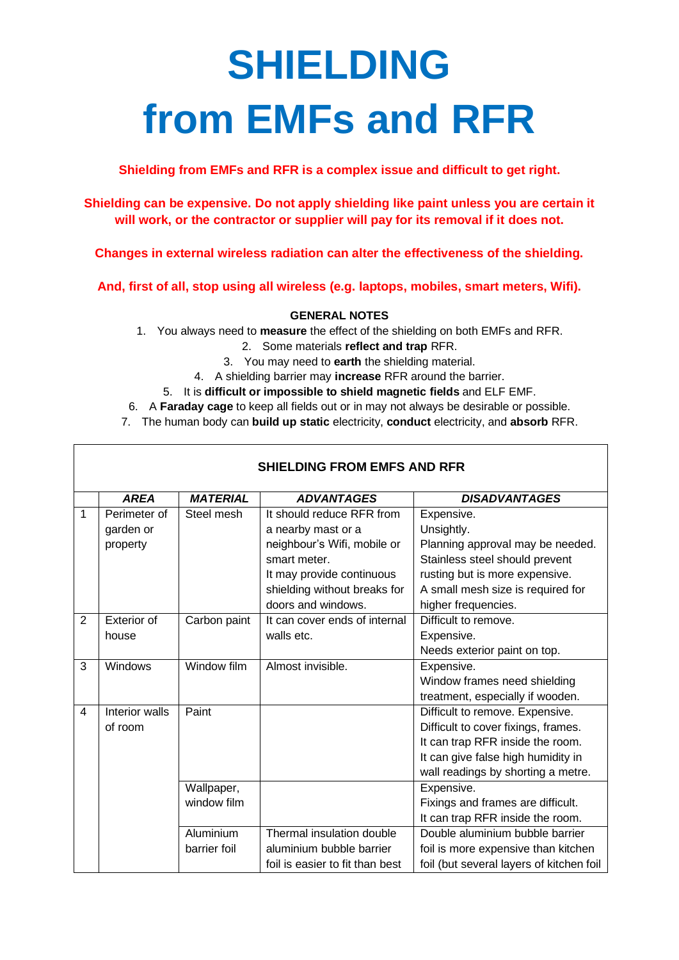# **SHIELDING from EMFs and RFR**

**Shielding from EMFs and RFR is a complex issue and difficult to get right.**

**Shielding can be expensive. Do not apply shielding like paint unless you are certain it will work, or the contractor or supplier will pay for its removal if it does not.**

**Changes in external wireless radiation can alter the effectiveness of the shielding.**

**And, first of all, stop using all wireless (e.g. laptops, mobiles, smart meters, Wifi).**

## **GENERAL NOTES**

- 1. You always need to **measure** the effect of the shielding on both EMFs and RFR.
	- 2. Some materials **reflect and trap** RFR.
	- 3. You may need to **earth** the shielding material.
	- 4. A shielding barrier may **increase** RFR around the barrier.
	- 5. It is **difficult or impossible to shield magnetic fields** and ELF EMF.
- 6. A **Faraday cage** to keep all fields out or in may not always be desirable or possible.
- 7. The human body can **build up static** electricity, **conduct** electricity, and **absorb** RFR.

 $\overline{\Gamma}$ 

| <b>SHIELDING FROM EMFS AND RFR</b> |                |                 |                                 |                                          |  |  |  |
|------------------------------------|----------------|-----------------|---------------------------------|------------------------------------------|--|--|--|
|                                    | <b>AREA</b>    | <b>MATERIAL</b> | <b>ADVANTAGES</b>               | <b>DISADVANTAGES</b>                     |  |  |  |
| $\mathbf{1}$                       | Perimeter of   | Steel mesh      | It should reduce RFR from       | Expensive.                               |  |  |  |
|                                    | garden or      |                 | a nearby mast or a              | Unsightly.                               |  |  |  |
|                                    | property       |                 | neighbour's Wifi, mobile or     | Planning approval may be needed.         |  |  |  |
|                                    |                |                 | smart meter.                    | Stainless steel should prevent           |  |  |  |
|                                    |                |                 | It may provide continuous       | rusting but is more expensive.           |  |  |  |
|                                    |                |                 | shielding without breaks for    | A small mesh size is required for        |  |  |  |
|                                    |                |                 | doors and windows.              | higher frequencies.                      |  |  |  |
| 2                                  | Exterior of    | Carbon paint    | It can cover ends of internal   | Difficult to remove.                     |  |  |  |
|                                    | house          |                 | walls etc.                      | Expensive.                               |  |  |  |
|                                    |                |                 |                                 | Needs exterior paint on top.             |  |  |  |
| 3                                  | Windows        | Window film     | Almost invisible.               | Expensive.                               |  |  |  |
|                                    |                |                 |                                 | Window frames need shielding             |  |  |  |
|                                    |                |                 |                                 | treatment, especially if wooden.         |  |  |  |
| 4                                  | Interior walls | Paint           |                                 | Difficult to remove. Expensive.          |  |  |  |
|                                    | of room        |                 |                                 | Difficult to cover fixings, frames.      |  |  |  |
|                                    |                |                 |                                 | It can trap RFR inside the room.         |  |  |  |
|                                    |                |                 |                                 | It can give false high humidity in       |  |  |  |
|                                    |                |                 |                                 | wall readings by shorting a metre.       |  |  |  |
|                                    |                | Wallpaper,      |                                 | Expensive.                               |  |  |  |
|                                    |                | window film     |                                 | Fixings and frames are difficult.        |  |  |  |
|                                    |                |                 |                                 | It can trap RFR inside the room.         |  |  |  |
|                                    |                | Aluminium       | Thermal insulation double       | Double aluminium bubble barrier          |  |  |  |
|                                    |                | barrier foil    | aluminium bubble barrier        | foil is more expensive than kitchen      |  |  |  |
|                                    |                |                 | foil is easier to fit than best | foil (but several layers of kitchen foil |  |  |  |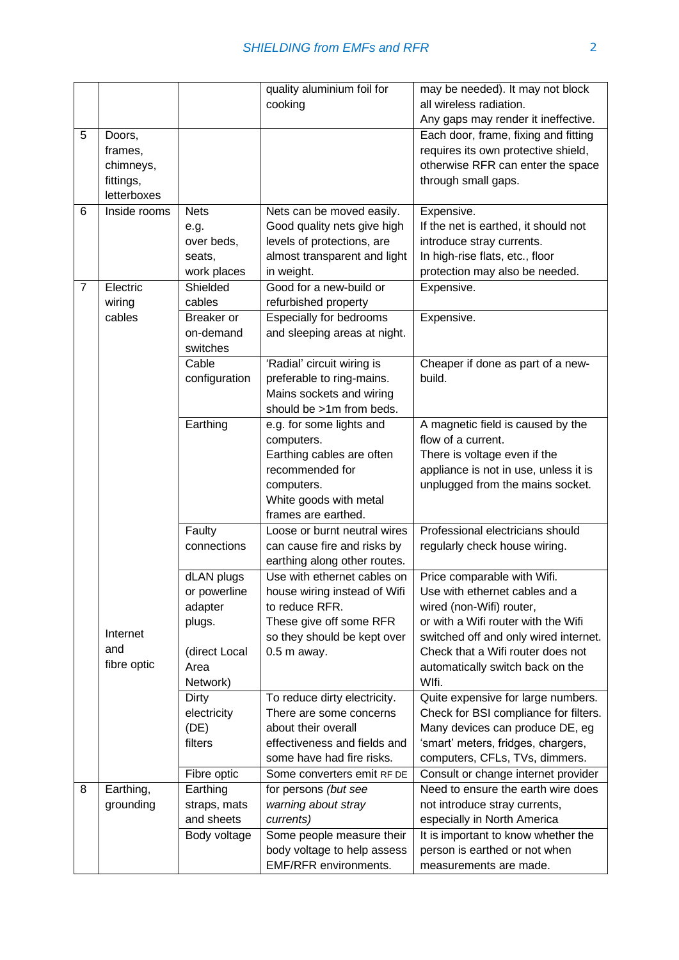|   |              |                   | quality aluminium foil for     | may be needed). It may not block      |
|---|--------------|-------------------|--------------------------------|---------------------------------------|
|   |              |                   | cooking                        | all wireless radiation.               |
|   |              |                   |                                | Any gaps may render it ineffective.   |
| 5 | Doors,       |                   |                                | Each door, frame, fixing and fitting  |
|   | frames,      |                   |                                | requires its own protective shield,   |
|   | chimneys,    |                   |                                | otherwise RFR can enter the space     |
|   | fittings,    |                   |                                | through small gaps.                   |
|   | letterboxes  |                   |                                |                                       |
| 6 | Inside rooms | <b>Nets</b>       | Nets can be moved easily.      | Expensive.                            |
|   |              | e.g.              | Good quality nets give high    | If the net is earthed, it should not  |
|   |              | over beds,        | levels of protections, are     | introduce stray currents.             |
|   |              | seats,            | almost transparent and light   | In high-rise flats, etc., floor       |
|   |              | work places       | in weight.                     | protection may also be needed.        |
| 7 | Electric     | Shielded          | Good for a new-build or        | Expensive.                            |
|   |              |                   |                                |                                       |
|   | wiring       | cables            | refurbished property           |                                       |
|   | cables       | <b>Breaker</b> or | <b>Especially for bedrooms</b> | Expensive.                            |
|   |              | on-demand         | and sleeping areas at night.   |                                       |
|   |              | switches          |                                |                                       |
|   |              | Cable             | 'Radial' circuit wiring is     | Cheaper if done as part of a new-     |
|   |              | configuration     | preferable to ring-mains.      | build.                                |
|   |              |                   | Mains sockets and wiring       |                                       |
|   |              |                   | should be >1m from beds.       |                                       |
|   |              | Earthing          | e.g. for some lights and       | A magnetic field is caused by the     |
|   |              |                   | computers.                     | flow of a current.                    |
|   |              |                   | Earthing cables are often      | There is voltage even if the          |
|   |              |                   | recommended for                | appliance is not in use, unless it is |
|   |              |                   | computers.                     | unplugged from the mains socket.      |
|   |              |                   | White goods with metal         |                                       |
|   |              |                   | frames are earthed.            |                                       |
|   |              | Faulty            | Loose or burnt neutral wires   | Professional electricians should      |
|   |              | connections       | can cause fire and risks by    | regularly check house wiring.         |
|   |              |                   | earthing along other routes.   |                                       |
|   |              | dLAN plugs        | Use with ethernet cables on    | Price comparable with Wifi.           |
|   |              | or powerline      | house wiring instead of Wifi   | Use with ethernet cables and a        |
|   |              | adapter           | to reduce RFR.                 | wired (non-Wifi) router,              |
|   |              | plugs.            | These give off some RFR        | or with a Wifi router with the Wifi   |
|   | Internet     |                   | so they should be kept over    | switched off and only wired internet. |
|   | and          | (direct Local     | 0.5 m away.                    | Check that a Wifi router does not     |
|   | fibre optic  | Area              |                                | automatically switch back on the      |
|   |              | Network)          |                                | Wlfi.                                 |
|   |              | Dirty             | To reduce dirty electricity.   | Quite expensive for large numbers.    |
|   |              | electricity       | There are some concerns        | Check for BSI compliance for filters. |
|   |              | (DE)              | about their overall            | Many devices can produce DE, eg       |
|   |              | filters           | effectiveness and fields and   | 'smart' meters, fridges, chargers,    |
|   |              |                   | some have had fire risks.      | computers, CFLs, TVs, dimmers.        |
|   |              | Fibre optic       | Some converters emit RF DE     | Consult or change internet provider   |
| 8 | Earthing,    | Earthing          | for persons (but see           | Need to ensure the earth wire does    |
|   |              |                   |                                |                                       |
|   | grounding    | straps, mats      | warning about stray            | not introduce stray currents,         |
|   |              | and sheets        | currents)                      | especially in North America           |
|   |              | Body voltage      | Some people measure their      | It is important to know whether the   |
|   |              |                   | body voltage to help assess    | person is earthed or not when         |
|   |              |                   | EMF/RFR environments.          | measurements are made.                |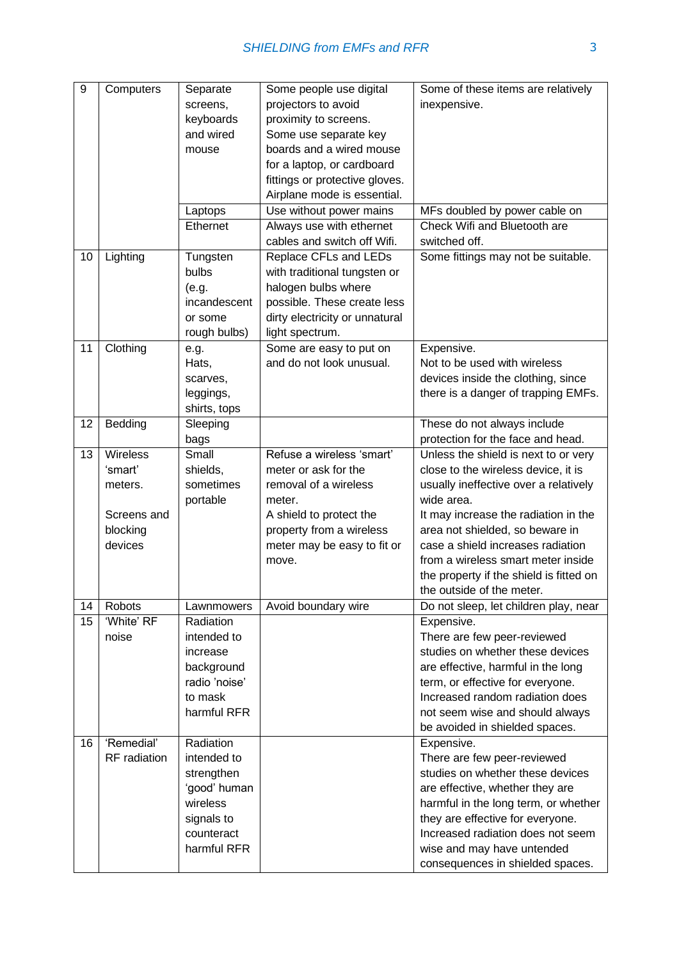| 9  | Computers       | Separate      | Some people use digital        | Some of these items are relatively      |
|----|-----------------|---------------|--------------------------------|-----------------------------------------|
|    |                 | screens,      | projectors to avoid            | inexpensive.                            |
|    |                 | keyboards     | proximity to screens.          |                                         |
|    |                 | and wired     | Some use separate key          |                                         |
|    |                 |               | boards and a wired mouse       |                                         |
|    |                 | mouse         |                                |                                         |
|    |                 |               | for a laptop, or cardboard     |                                         |
|    |                 |               | fittings or protective gloves. |                                         |
|    |                 |               | Airplane mode is essential.    |                                         |
|    |                 | Laptops       | Use without power mains        | MFs doubled by power cable on           |
|    |                 | Ethernet      | Always use with ethernet       | Check Wifi and Bluetooth are            |
|    |                 |               | cables and switch off Wifi.    | switched off.                           |
| 10 | Lighting        | Tungsten      | Replace CFLs and LEDs          | Some fittings may not be suitable.      |
|    |                 | bulbs         | with traditional tungsten or   |                                         |
|    |                 | (e.g.         | halogen bulbs where            |                                         |
|    |                 | incandescent  | possible. These create less    |                                         |
|    |                 | or some       | dirty electricity or unnatural |                                         |
|    |                 | rough bulbs)  | light spectrum.                |                                         |
| 11 | Clothing        | e.g.          | Some are easy to put on        | Expensive.                              |
|    |                 | Hats,         | and do not look unusual.       | Not to be used with wireless            |
|    |                 |               |                                | devices inside the clothing, since      |
|    |                 | scarves,      |                                |                                         |
|    |                 | leggings,     |                                | there is a danger of trapping EMFs.     |
|    |                 | shirts, tops  |                                |                                         |
| 12 | Bedding         | Sleeping      |                                | These do not always include             |
|    |                 | bags          |                                | protection for the face and head.       |
| 13 | <b>Wireless</b> | Small         | Refuse a wireless 'smart'      | Unless the shield is next to or very    |
|    | 'smart'         | shields,      | meter or ask for the           | close to the wireless device, it is     |
|    | meters.         | sometimes     | removal of a wireless          | usually ineffective over a relatively   |
|    |                 | portable      | meter.                         | wide area.                              |
|    | Screens and     |               | A shield to protect the        | It may increase the radiation in the    |
|    | blocking        |               | property from a wireless       | area not shielded, so beware in         |
|    | devices         |               | meter may be easy to fit or    | case a shield increases radiation       |
|    |                 |               | move.                          | from a wireless smart meter inside      |
|    |                 |               |                                | the property if the shield is fitted on |
|    |                 |               |                                | the outside of the meter.               |
| 14 | Robots          | Lawnmowers    | Avoid boundary wire            | Do not sleep, let children play, near   |
|    | 'White' RF      | Radiation     |                                |                                         |
| 15 |                 |               |                                | Expensive.                              |
|    | noise           | intended to   |                                | There are few peer-reviewed             |
|    |                 | increase      |                                | studies on whether these devices        |
|    |                 | background    |                                | are effective, harmful in the long      |
|    |                 | radio 'noise' |                                | term, or effective for everyone.        |
|    |                 | to mask       |                                | Increased random radiation does         |
|    |                 | harmful RFR   |                                | not seem wise and should always         |
|    |                 |               |                                | be avoided in shielded spaces.          |
| 16 | 'Remedial'      | Radiation     |                                | Expensive.                              |
|    | RF radiation    | intended to   |                                | There are few peer-reviewed             |
|    |                 | strengthen    |                                | studies on whether these devices        |
|    |                 | 'good' human  |                                | are effective, whether they are         |
|    |                 | wireless      |                                | harmful in the long term, or whether    |
|    |                 | signals to    |                                | they are effective for everyone.        |
|    |                 | counteract    |                                | Increased radiation does not seem       |
|    |                 |               |                                |                                         |
|    |                 | harmful RFR   |                                | wise and may have untended              |
|    |                 |               |                                | consequences in shielded spaces.        |